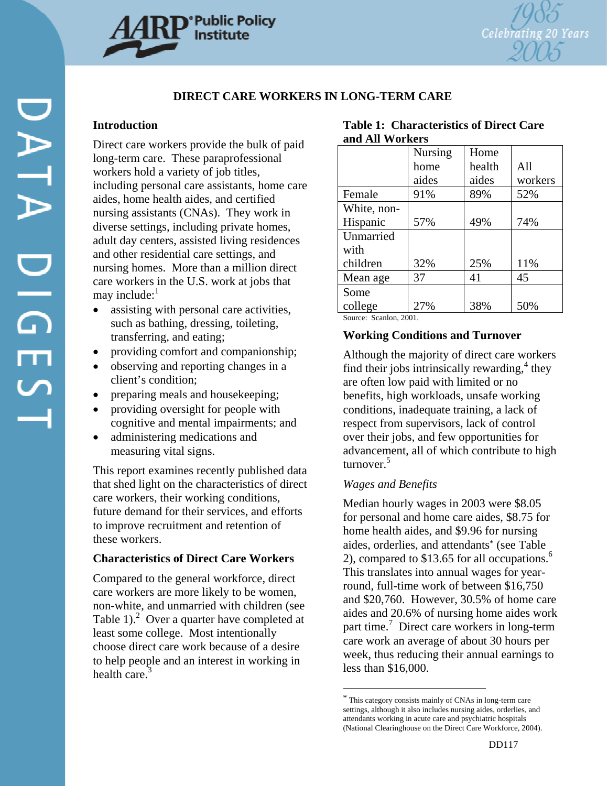

# **DIRECT CARE WORKERS IN LONG-TERM CARE**

## **Introduction**

Direct care workers provide the bulk of paid long-term care. These paraprofessional workers hold a variety of job titles, including personal care assistants, home care aides, home health aides, and certified nursing assistants (CNAs). They work in diverse settings, including private homes, adult day centers, assisted living residences and other residential care settings, and nursing homes. More than a million direct care workers in the U.S. work at jobs that may include: $<sup>1</sup>$ </sup>

- assisting with personal care activities, such as bathing, dressing, toileting, transferring, and eating;
- providing comfort and companionship;
- observing and reporting changes in a client's condition;
- preparing meals and house keeping;
- providing oversight for people with cognitive and mental impairments; and
- administering medications and measuring vital signs.

This report examines recently published data that shed light on the characteristics of direct care workers, their working conditions, future demand for their services, and efforts to improve recruitment and retention of these workers.

## **Characteristics of Direct Care Workers**

Compared to the general workforce, direct care workers are more likely to be women, non-white, and unmarried with children (see Table 1). $^{2}$  Over a quarter have completed at least some college. Most intentionally choose direct care work because of a desire to help people and an interest in working in health care.<sup>3</sup>

|                 | <b>Table 1: Characteristics of Direct Care</b> |
|-----------------|------------------------------------------------|
| and All Workers |                                                |

|             | Nursing | Home   |         |
|-------------|---------|--------|---------|
|             | home    | health | All     |
|             | aides   | aides  | workers |
| Female      | 91%     | 89%    | 52%     |
| White, non- |         |        |         |
| Hispanic    | 57%     | 49%    | 74%     |
| Unmarried   |         |        |         |
| with        |         |        |         |
| children    | 32%     | 25%    | 11%     |
| Mean age    | 37      | 41     | 45      |
| Some        |         |        |         |
| college     | 27%     | 38%    | 50%     |

Source: Scanlon, 2001.

## **Working Conditions and Turnover**

Although the majority of direct care workers find their jobs intrinsically rewarding, $4$  they are often low paid with limited or no benefits, high workloads, unsafe working conditions, inadequate training, a lack of respect from supervisors, lack of control over their jobs, and few opportunities for advancement, all of which contribute to high turnover.<sup>5</sup>

## *Wages and Benefits*

l

Median hourly wages in 2003 were \$8.05 for personal and home care aides, \$8.75 for home health aides, and \$9.96 for nursing aides, orderlies, and attendants\* (see Table 2), compared to  $$13.65$  for all occupations.<sup>6</sup> This translates into annual wages for yearround, full-time work of between \$16,750 and \$20,760. However, 30.5% of home care aides and 20.6% of nursing home aides work part time.<sup>7</sup> Direct care workers in long-term care work an average of about 30 hours per week, thus reducing their annual earnings to less than \$16,000.

<sup>\*</sup> This category consists mainly of CNAs in long-term care settings, although it also includes nursing aides, orderlies, and attendants working in acute care and psychiatric hospitals (National Clearinghouse on the Direct Care Workforce, 2004).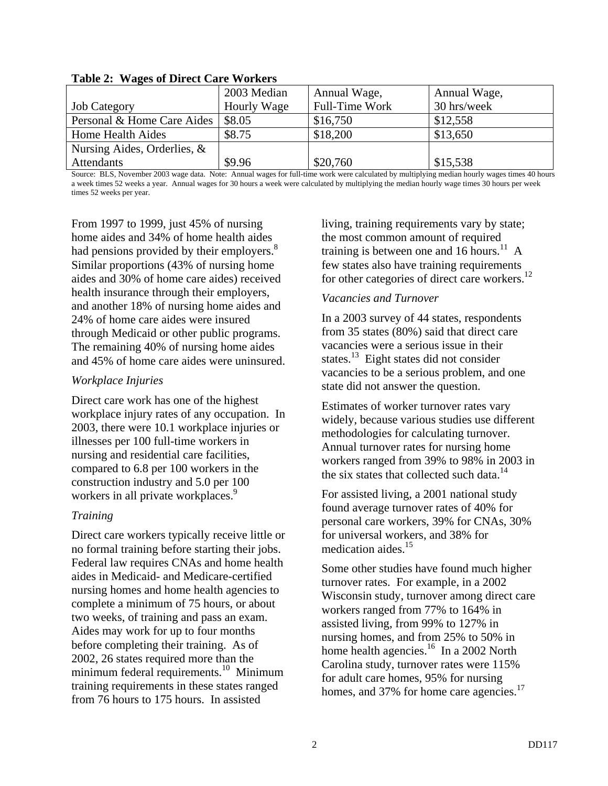|                                | 2003 Median | Annual Wage,   | Annual Wage, |
|--------------------------------|-------------|----------------|--------------|
| <b>Job Category</b>            | Hourly Wage | Full-Time Work | 30 hrs/week  |
| Personal & Home Care Aides     | \$8.05      | \$16,750       | \$12,558     |
| Home Health Aides              | \$8.75      | \$18,200       | \$13,650     |
| Nursing Aides, Orderlies, $\&$ |             |                |              |
| Attendants                     | \$9.96      | \$20,760       | \$15,538     |

**Table 2: Wages of Direct Care Workers** 

Source: BLS, November 2003 wage data. Note: Annual wages for full-time work were calculated by multiplying median hourly wages times 40 hours a week times 52 weeks a year. Annual wages for 30 hours a week were calculated by multiplying the median hourly wage times 30 hours per week times 52 weeks per year.

From 1997 to 1999, just 45% of nursing home aides and 34% of home health aides had pensions provided by their employers. $8<sup>8</sup>$ Similar proportions (43% of nursing home aides and 30% of home care aides) received health insurance through their employers, and another 18% of nursing home aides and 24% of home care aides were insured through Medicaid or other public programs. The remaining 40% of nursing home aides and 45% of home care aides were uninsured.

## *Workplace Injuries*

Direct care work has one of the highest workplace injury rates of any occupation. In 2003, there were 10.1 workplace injuries or illnesses per 100 full-time workers in nursing and residential care facilities, compared to 6.8 per 100 workers in the construction industry and 5.0 per 100 workers in all private workplaces.<sup>9</sup>

# *Training*

Direct care workers typically receive little or no formal training before starting their jobs. Federal law requires CNAs and home health aides in Medicaid- and Medicare-certified nursing homes and home health agencies to complete a minimum of 75 hours, or about two weeks, of training and pass an exam. Aides may work for up to four months before completing their training. As of 2002, 26 states required more than the minimum federal requirements.<sup>10</sup> Minimum training requirements in these states ranged from 76 hours to 175 hours. In assisted

living, training requirements vary by state; the most common amount of required training is between one and 16 hours.<sup>11</sup> A few states also have training requirements for other categories of direct care workers.<sup>12</sup>

# *Vacancies and Turnover*

In a 2003 survey of 44 states, respondents from 35 states (80%) said that direct care vacancies were a serious issue in their states. $^{13}$  Eight states did not consider vacancies to be a serious problem, and one state did not answer the question.

Estimates of worker turnover rates vary widely, because various studies use different methodologies for calculating turnover. Annual turnover rates for nursing home workers ranged from 39% to 98% in 2003 in the six states that collected such data.<sup>14</sup>

For assisted living, a 2001 national study found average turnover rates of 40% for personal care workers, 39% for CNAs, 30% for universal workers, and 38% for medication aides.<sup>15</sup>

Some other studies have found much higher turnover rates. For example, in a 2002 Wisconsin study, turnover among direct care workers ranged from 77% to 164% in assisted living, from 99% to 127% in nursing homes, and from 25% to 50% in home health agencies.<sup>16</sup> In a 2002 North Carolina study, turnover rates were 115% for adult care homes, 95% for nursing homes, and 37% for home care agencies.<sup>17</sup>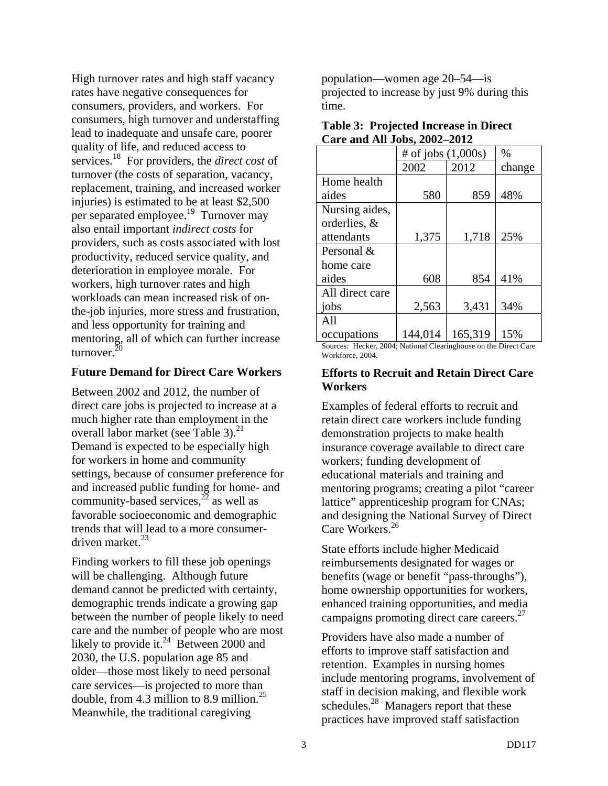High turnover rates and high staff vacancy rates have negative consequences for consumers, providers, and workers. For consumers, high turnover and understaffing lead to inadequate and unsafe care, poorer quality of life, and reduced access to services.18 For providers, the *direct cost* of turnover (the costs of separation, vacancy, replacement, training, and increased worker injuries) is estimated to be at least \$2,500 per separated employee.<sup>19</sup> Turnover may also entail important *indirect costs* for providers, such as costs associated with lost productivity, reduced service quality, and deterioration in employee morale. For workers, high turnover rates and high workloads can mean increased risk of onthe-job injuries, more stress and frustration, and less opportunity for training and mentoring, all of which can further increase turnover.<sup>20</sup>

#### **Future Demand for Direct Care Workers**

Between 2002 and 2012, the number of direct care jobs is projected to increase at a much higher rate than employment in the overall labor market (see Table 3). $^{21}$ Demand is expected to be especially high for workers in home and community settings, because of consumer preference for and increased public funding for home- and community-based services,  $^{22}$  as well as favorable socioeconomic and demographic trends that will lead to a more consumerdriven market.<sup>23</sup>

Finding workers to fill these job openings will be challenging. Although future demand cannot be predicted with certainty, demographic trends indicate a growing gap between the number of people likely to need care and the number of people who are most likely to provide it.<sup>24</sup> Between 2000 and 2030, the U.S. population age 85 and older—those most likely to need personal care services—is projected to more than double, from 4.3 million to 8.9 million.<sup>25</sup> Meanwhile, the traditional caregiving

population—women age 20–54—is projected to increase by just 9% during this time.

| <b>Table 3: Projected Increase in Direct</b> |  |
|----------------------------------------------|--|
| Care and All Jobs, 2002–2012                 |  |

|                 | # of jobs $(1,000s)$ | $\frac{0}{0}$ |        |
|-----------------|----------------------|---------------|--------|
|                 | 2002                 | 2012          | change |
| Home health     |                      |               |        |
| aides           | 580                  | 859           | 48%    |
| Nursing aides,  |                      |               |        |
| orderlies, &    |                      |               |        |
| attendants      | 1,375                | 1,718         | 25%    |
| Personal &      |                      |               |        |
| home care       |                      |               |        |
| aides           | 608                  | 854           | 41%    |
| All direct care |                      |               |        |
| jobs            | 2,563                | 3,431         | 34%    |
| All             |                      |               |        |
| occupations     | 144,014              | 165,319       | 15%    |

Sources: Hecker, 2004; National Clearinghouse on the Direct Care Workforce, 2004.

## **Efforts to Recruit and Retain Direct Care Workers**

Examples of federal efforts to recruit and retain direct care workers include funding demonstration projects to make health insurance coverage available to direct care workers; funding development of educational materials and training and mentoring programs; creating a pilot "career lattice" apprenticeship program for CNAs; and designing the National Survey of Direct Care Workers.<sup>26</sup>

State efforts include higher Medicaid reimbursements designated for wages or benefits (wage or benefit "pass-throughs"), home ownership opportunities for workers, enhanced training opportunities, and media campaigns promoting direct care careers. $27$ 

Providers have also made a number of efforts to improve staff satisfaction and retention. Examples in nursing homes include mentoring programs, involvement of staff in decision making, and flexible work schedules.<sup>28</sup> Managers report that these practices have improved staff satisfaction